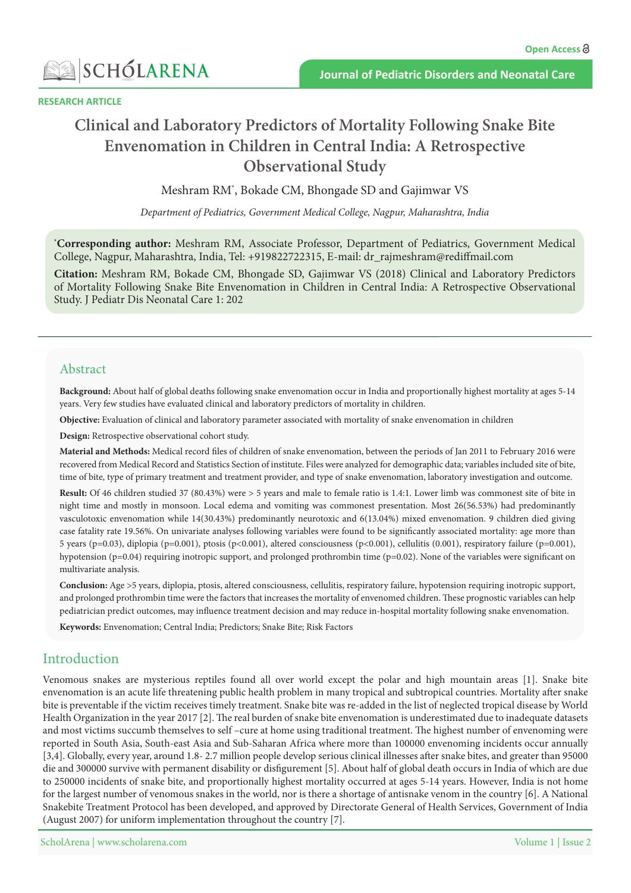

**RESEARCH ARTICLE** 

# **Bite Snake Bite Snake Bite Snake Bite Snake Bite Snake Bite Snake Bite Snake Bite Snake Bite Snake Bite Snake Bite** Envenomation in Children in Central India: A Retrospective **Observational Study**

Meshram RM<sup>\*</sup>, Bokade CM, Bhongade SD and Gajimwar VS

Department of Pediatrics, Government Medical College, Nagpur, Maharashtra, India

<sup>\*</sup>Corresponding author: Meshram RM, Associate Professor, Department of Pediatrics, Government Medical College, Nagpur, Maharashtra, India, Tel: +919822722315, E-mail: dr rajmeshram@rediffmail.com

**Citation:** Meshram RM, Bokade CM, Bhongade SD, Gajimwar VS (2018) Clinical and Laboratory Predictors of Mortality Following Snake Bite Envenomation in Children in Central India: A Retrospective Observational Study. J Pediatr Dis Neonatal Care 1: 202

#### Abstract

**Background:** About half of global deaths following snake envenomation occur in India and proportionally highest mortality at ages 5-14 years. Very few studies have evaluated clinical and laboratory predictors of mortality in children.

**Objective:** Evaluation of clinical and laboratory parameter associated with mortality of snake envenomation in children

Design: Retrospective observational cohort study.

Material and Methods: Medical record files of children of snake envenomation, between the periods of Jan 2011 to February 2016 were recovered from Medical Record and Statistics Section of institute. Files were analyzed for demographic data; variables included site of bite, time of bite, type of primary treatment and treatment provider, and type of snake envenomation, laboratory investigation and outcome.

Result: Of 46 children studied 37 (80.43%) were > 5 years and male to female ratio is 1.4:1. Lower limb was commonest site of bite in night time and mostly in monsoon. Local edema and vomiting was commonest presentation. Most 26(56.53%) had predominantly vasculotoxic envenomation while 14(30.43%) predominantly neurotoxic and 6(13.04%) mixed envenomation. 9 children died giving case fatality rate 19.56%. On univariate analyses following variables were found to be significantly associated mortality: age more than 5 years (p=0.03), diplopia (p=0.001), ptosis (p<0.001), altered consciousness (p<0.001), cellulitis (0.001), respiratory failure (p=0.001), hypotension (p=0.04) requiring inotropic support, and prolonged prothrombin time (p=0.02). None of the variables were significant on multivariate analysis.

Conclusion: Age >5 years, diplopia, ptosis, altered consciousness, cellulitis, respiratory failure, hypotension requiring inotropic support, and prolonged prothrombin time were the factors that increases the mortality of envenomed children. These prognostic variables can help pediatrician predict outcomes, may influence treatment decision and may reduce in-hospital mortality following snake envenomation.

Keywords: Envenomation; Central India; Predictors; Snake Bite; Risk Factors

### Introduction

Venomous snakes are mysterious reptiles found all over world except the polar and high mountain areas [1]. Snake bite envenomation is an acute life threatening public health problem in many tropical and subtropical countries. Mortality after snake bite is preventable if the victim receives timely treatment. Snake bite was re-added in the list of neglected tropical disease by World Health Organization in the year 2017 [2]. The real burden of snake bite envenomation is underestimated due to inadequate datasets and most victims succumb themselves to self –cure at home using traditional treatment. The highest number of envenoming were reported in South Asia, South-east Asia and Sub-Saharan Africa where more than 100000 envenoming incidents occur annually [3,4]. Globally, every year, around 1.8-2.7 million people develop serious clinical illnesses after snake bites, and greater than 95000 die and 300000 survive with permanent disability or disfigurement [5]. About half of global death occurs in India of which are due to 250000 incidents of snake bite, and proportionally highest mortality occurred at ages 5-14 years. However, India is not home for the largest number of venomous snakes in the world, nor is there a shortage of antisnake venom in the country  $[6]$ . A National Snakebite Treatment Protocol has been developed, and approved by Directorate General of Health Services, Government of India (August 2007) for uniform implementation throughout the country  $[7]$ .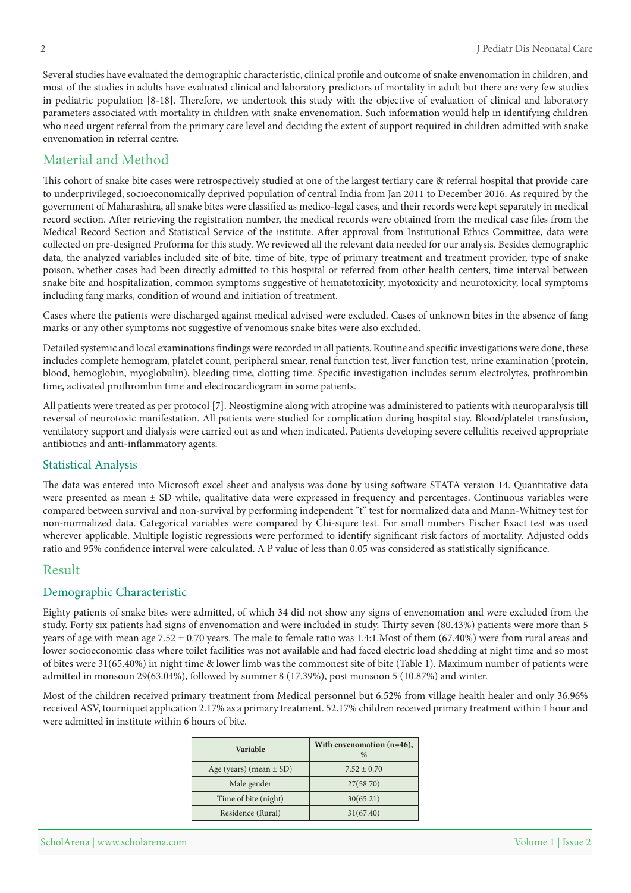Several studies have evaluated the demographic characteristic, clinical profile and outcome of snake envenomation in children, and most of the studies in adults have evaluated clinical and laboratory predictors of mortality in adult but there are very few studies in pediatric population [8-18]. Therefore, we undertook this study with the objective of evaluation of clinical and laboratory parameters associated with mortality in children with snake envenomation. Such information would help in identifying children who need urgent referral from the primary care level and deciding the extent of support required in children admitted with snake envenomation in referral centre.

# Material and Method

This cohort of snake bite cases were retrospectively studied at one of the largest tertiary care & referral hospital that provide care to underprivileged, socioeconomically deprived population of central India from Jan 2011 to December 2016. As required by the government of Maharashtra, all snake bites were classified as medico-legal cases, and their records were kept separately in medical record section. After retrieving the registration number, the medical records were obtained from the medical case files from the Medical Record Section and Statistical Service of the institute. After approval from Institutional Ethics Committee, data were collected on pre-designed Proforma for this study. We reviewed all the relevant data needed for our analysis. Besides demographic data, the analyzed variables included site of bite, time of bite, type of primary treatment and treatment provider, type of snake poison, whether cases had been directly admitted to this hospital or referred from other health centers, time interval between snake bite and hospitalization, common symptoms suggestive of hematotoxicity, myotoxicity and neurotoxicity, local symptoms including fang marks, condition of wound and initiation of treatment.

Cases where the patients were discharged against medical advised were excluded. Cases of unknown bites in the absence of fang marks or any other symptoms not suggestive of venomous snake bites were also excluded.

Detailed systemic and local examinations findings were recorded in all patients. Routine and specific investigations were done, these includes complete hemogram, platelet count, peripheral smear, renal function test, liver function test, urine examination (protein, blood, hemoglobin, myoglobulin), bleeding time, clotting time. Specific investigation includes serum electrolytes, prothrombin time, activated prothrombin time and electrocardiogram in some patients.

All patients were treated as per protocol [7]. Neostigmine along with atropine was administered to patients with neuroparalysis till reversal of neurotoxic manifestation. All patients were studied for complication during hospital stay. Blood/platelet transfusion, ventilatory support and dialysis were carried out as and when indicated. Patients developing severe cellulitis received appropriate antibiotics and anti-inflammatory agents.

#### **Statistical Analysis**

The data was entered into Microsoft excel sheet and analysis was done by using software STATA version 14. Quantitative data were presented as mean ± SD while, qualitative data were expressed in frequency and percentages. Continuous variables were compared between survival and non-survival by performing independent "t" test for normalized data and Mann-Whitney test for non-normalized data. Categorical variables were compared by Chi-squre test. For small numbers Fischer Exact test was used wherever applicable. Multiple logistic regressions were performed to identify significant risk factors of mortality. Adjusted odds ratio and 95% confidence interval were calculated. A P value of less than 0.05 was considered as statistically significance.

#### Result

# Demographic Characteristic

Eighty patients of snake bites were admitted, of which 34 did not show any signs of envenomation and were excluded from the study. Forty six patients had signs of envenomation and were included in study. Thirty seven (80.43%) patients were more than 5 years of age with mean age  $7.52 \pm 0.70$  years. The male to female ratio was 1.4:1. Most of them  $(67.40%)$  were from rural areas and lower socioeconomic class where toilet facilities was not available and had faced electric load shedding at night time and so most of bites were 31(65.40%) in night time & lower limb was the commonest site of bite (Table 1). Maximum number of patients were admitted in monsoon 29(63.04%), followed by summer 8 (17.39%), post monsoon 5 (10.87%) and winter.

Most of the children received primary treatment from Medical personnel but 6.52% from village health healer and only 36.96% received ASV, tourniquet application 2.17% as a primary treatment. 52.17% children received primary treatment within 1 hour and were admitted in institute within 6 hours of bite.

| Variable                    | With envenomation $(n=46)$ ,<br>$\%$ |
|-----------------------------|--------------------------------------|
| Age (years) (mean $\pm$ SD) | $7.52 + 0.70$                        |
| Male gender                 | 27(58.70)                            |
| Time of bite (night)        | 30(65.21)                            |
| Residence (Rural)           | 31(67.40)                            |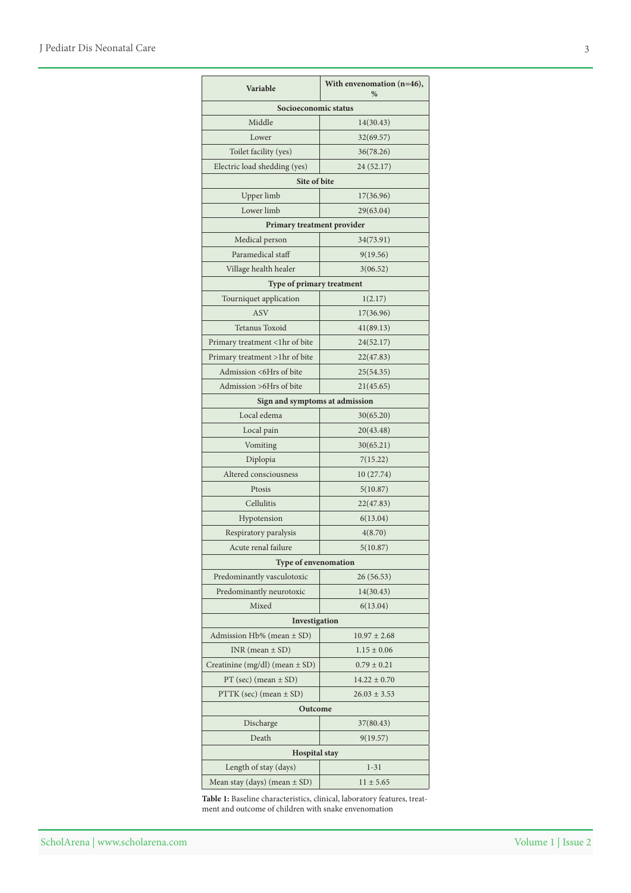| Variable                           | With envenomation $(n=46)$ ,<br>$\%$ |  |  |
|------------------------------------|--------------------------------------|--|--|
| Socioeconomic status               |                                      |  |  |
| Middle                             | 14(30.43)                            |  |  |
| Lower                              | 32(69.57)                            |  |  |
| Toilet facility (yes)              | 36(78.26)                            |  |  |
| Electric load shedding (yes)       | 24 (52.17)                           |  |  |
| Site of bite                       |                                      |  |  |
| Upper limb                         | 17(36.96)                            |  |  |
| Lower limb                         | 29(63.04)                            |  |  |
| Primary treatment provider         |                                      |  |  |
| Medical person                     | 34(73.91)                            |  |  |
| Paramedical staff                  | 9(19.56)                             |  |  |
| Village health healer              | 3(06.52)                             |  |  |
| Type of primary treatment          |                                      |  |  |
| Tourniquet application             | 1(2.17)                              |  |  |
| <b>ASV</b>                         | 17(36.96)                            |  |  |
| Tetanus Toxoid                     | 41(89.13)                            |  |  |
| Primary treatment <1hr of bite     | 24(52.17)                            |  |  |
| Primary treatment >1hr of bite     | 22(47.83)                            |  |  |
| Admission <6Hrs of bite            | 25(54.35)                            |  |  |
| Admission >6Hrs of bite            | 21(45.65)                            |  |  |
| Sign and symptoms at admission     |                                      |  |  |
| Local edema                        | 30(65.20)                            |  |  |
| Local pain                         | 20(43.48)                            |  |  |
| Vomiting                           | 30(65.21)                            |  |  |
| Diplopia                           | 7(15.22)                             |  |  |
| Altered consciousness              | 10 (27.74)                           |  |  |
| Ptosis                             | 5(10.87)                             |  |  |
| Cellulitis                         | 22(47.83)                            |  |  |
| Hypotension                        | 6(13.04)                             |  |  |
| Respiratory paralysis              | 4(8.70)                              |  |  |
| Acute renal failure                | 5(10.87)                             |  |  |
| <b>Type of envenomation</b>        |                                      |  |  |
| Predominantly vasculotoxic         | 26 (56.53)                           |  |  |
| Predominantly neurotoxic           | 14(30.43)                            |  |  |
| Mixed                              | 6(13.04)                             |  |  |
| Investigation                      |                                      |  |  |
| Admission Hb% (mean $\pm$ SD)      | $10.97 \pm 2.68$                     |  |  |
| $INR$ (mean $\pm$ SD)              | $1.15 \pm 0.06$                      |  |  |
| Creatinine (mg/dl) (mean $\pm$ SD) | $0.79 \pm 0.21$                      |  |  |
| PT (sec) (mean $\pm$ SD)           | $14.22 \pm 0.70$                     |  |  |
| $PTTK$ (sec) (mean $\pm$ SD)       | $26.03 \pm 3.53$                     |  |  |
| Outcome                            |                                      |  |  |
| Discharge                          | 37(80.43)                            |  |  |
| Death                              | 9(19.57)                             |  |  |
| <b>Hospital</b> stay               |                                      |  |  |
| Length of stay (days)              | $1 - 31$                             |  |  |
| Mean stay (days) (mean $\pm$ SD)   | $11 \pm 5.65$                        |  |  |

Table 1: Baseline characteristics, clinical, laboratory features, treat-<br>ment and outcome of children with snake envenomation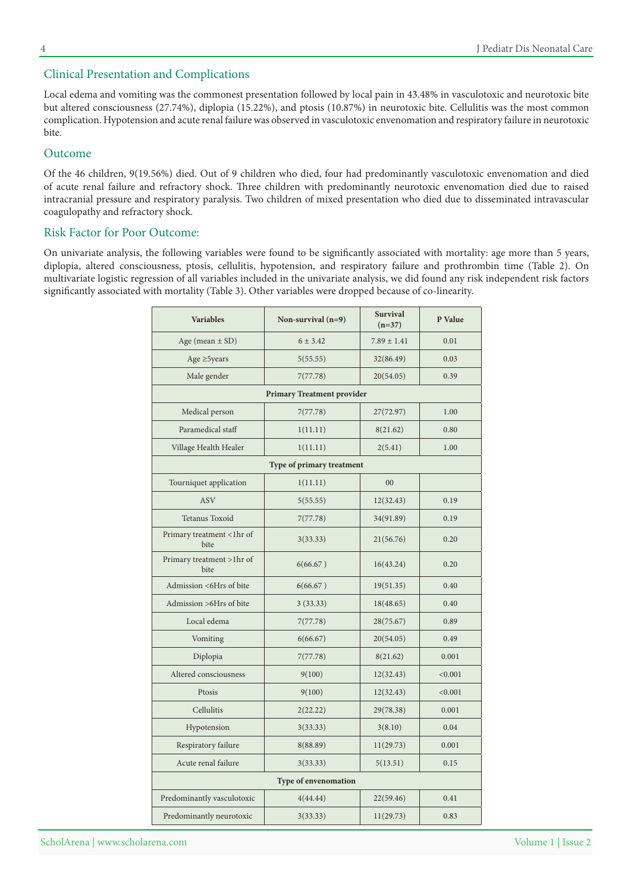#### Clinical Presentation and Complications

Local edema and vomiting was the commonest presentation followed by local pain in 43.48% in vasculotoxic and neurotoxic bite but altered consciousness (27.74%), diplopia (15.22%), and ptosis (10.87%) in neurotoxic bite. Cellulitis was the most common complication. Hypotension and acute renal failure was observed in vasculotoxic envenomation and respiratory failure in neurotoxic bite.

#### Outcome

Of the 46 children, 9(19.56%) died. Out of 9 children who died, four had predominantly vasculotoxic envenomation and died of acute renal failure and refractory shock. Three children with predominantly neurotoxic envenomation died due to raised intracranial pressure and respiratory paralysis. Two children of mixed presentation who died due to disseminated intravascular coagulopathy and refractory shock.

#### Risk Factor for Poor Outcome:

On univariate analysis, the following variables were found to be significantly associated with mortality: age more than 5 years, diplopia, altered consciousness, ptosis, cellulitis, hypotension, and respiratory failure and prothrombin time (Table 2). On multivariate logistic regression of all variables included in the univariate analysis, we did found any risk independent risk factors significantly associated with mortality (Table 3). Other variables were dropped because of co-linearity.

| <b>Variables</b><br>Non-survival $(n=9)$ |                                   | <b>Survival</b><br>P Value<br>$(n=37)$ |         |  |
|------------------------------------------|-----------------------------------|----------------------------------------|---------|--|
| Age (mean $\pm$ SD)                      | $6 \pm 3.42$                      | $7.89 \pm 1.41$                        | 0.01    |  |
| Age $\geq$ 5years                        | 5(55.55)                          | 32(86.49)                              | 0.03    |  |
| Male gender                              | 7(77.78)                          | 20(54.05)                              | 0.39    |  |
|                                          | <b>Primary Treatment provider</b> |                                        |         |  |
| Medical person                           | 7(77.78)                          | 27(72.97)                              | 1.00    |  |
| Paramedical staff                        | 1(11.11)                          | 8(21.62)                               | 0.80    |  |
| Village Health Healer                    | 1(11.11)                          | 2(5.41)                                |         |  |
|                                          | Type of primary treatment         |                                        |         |  |
| Tourniquet application                   | 1(11.11)                          | 00                                     |         |  |
| <b>ASV</b>                               | 5(55.55)                          | 12(32.43)                              | 0.19    |  |
| Tetanus Toxoid                           | 7(77.78)                          | 34(91.89)                              | 0.19    |  |
| Primary treatment <1hr of<br>bite        | 3(33.33)                          | 21(56.76)                              | 0.20    |  |
| Primary treatment >1hr of<br>bite        | 6(66.67)                          | 16(43.24)                              | 0.20    |  |
| Admission <6Hrs of bite                  | 6(66.67)                          | 19(51.35)                              | 0.40    |  |
| Admission > 6Hrs of bite                 | 3(33.33)<br>18(48.65)             |                                        | 0.40    |  |
| Local edema                              | 7(77.78)<br>28(75.67)             |                                        | 0.89    |  |
| Vomiting                                 | 6(66.67)                          | 20(54.05)                              | 0.49    |  |
| Diplopia                                 | 7(77.78)                          | 8(21.62)                               | 0.001   |  |
| Altered consciousness                    | 9(100)                            | 12(32.43)                              | < 0.001 |  |
| Ptosis                                   | 9(100)                            | 12(32.43)                              | < 0.001 |  |
| Cellulitis                               | 2(22.22)                          | 29(78.38)                              | 0.001   |  |
| Hypotension                              | 3(33.33)<br>3(8.10)               |                                        | 0.04    |  |
| Respiratory failure                      | 8(88.89)                          | 11(29.73)                              | 0.001   |  |
| Acute renal failure                      | 3(33.33)                          | 5(13.51)                               | 0.15    |  |
| Type of envenomation                     |                                   |                                        |         |  |
| Predominantly vasculotoxic               | 4(44.44)                          | 22(59.46)                              | 0.41    |  |
| Predominantly neurotoxic                 | 3(33.33)                          | 11(29.73)                              | 0.83    |  |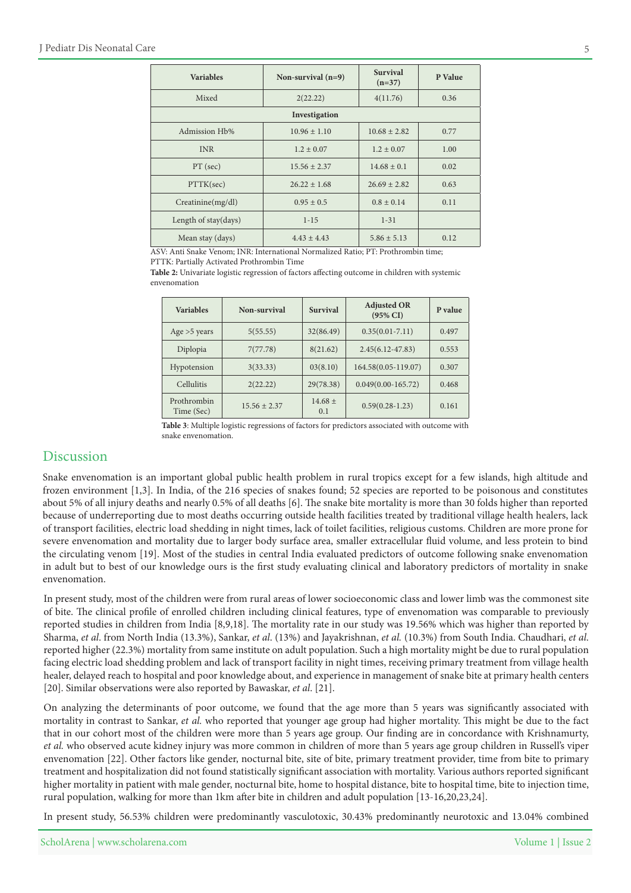| <b>Variables</b>      | Non-survival $(n=9)$ | <b>Survival</b><br>$(n=37)$ | P Value |  |
|-----------------------|----------------------|-----------------------------|---------|--|
| Mixed                 | 2(22.22)             | 4(11.76)                    | 0.36    |  |
| Investigation         |                      |                             |         |  |
| Admission Hb%         | $10.96 \pm 1.10$     | $10.68 + 2.82$              | 0.77    |  |
| <b>INR</b>            | $1.2 \pm 0.07$       | $1.2 \pm 0.07$              | 1.00    |  |
| PT (sec)              | $15.56 \pm 2.37$     | $14.68 \pm 0.1$             | 0.02    |  |
| PTTK(sec)             | $26.22 + 1.68$       | $26.69 \pm 2.82$            | 0.63    |  |
| Creatinine(mg/dl)     | $0.95 \pm 0.5$       | $0.8 \pm 0.14$              | 0.11    |  |
| Length of $stay/day)$ | $1 - 15$             | $1 - 31$                    |         |  |
| Mean stay (days)      | $4.43 + 4.43$        | $5.86 \pm 5.13$             | 0.12    |  |

ASV: Anti Snake Venom: INR: International Normalized Ratio: PT: Prothrombin time:

PTTK: Partially Activated Prothrombin Time

Table 2: Univariate logistic regression of factors affecting outcome in children with systemic envenomation

| <b>Variables</b>          | Non-survival     | <b>Survival</b>    | <b>Adjusted OR</b><br>$(95\% \text{ CI})$ | P value |
|---------------------------|------------------|--------------------|-------------------------------------------|---------|
| Age $>5$ years            | 5(55.55)         | 32(86.49)          | $0.35(0.01 - 7.11)$                       | 0.497   |
| Diplopia                  | 7(77.78)         | 8(21.62)           | $2.45(6.12 - 47.83)$                      | 0.553   |
| Hypotension               | 3(33.33)         | 03(8.10)           | 164.58(0.05-119.07)                       | 0.307   |
| Cellulitis                | 2(22.22)         | 29(78.38)          | $0.049(0.00-165.72)$                      | 0.468   |
| Prothrombin<br>Time (Sec) | $15.56 \pm 2.37$ | $14.68 \pm$<br>0.1 | $0.59(0.28-1.23)$                         | 0.161   |

Table 3: Multiple logistic regressions of factors for predictors associated with outcome with snake envenomation.

# Discussion

Snake envenomation is an important global public health problem in rural tropics except for a few islands, high altitude and frozen environment [1,3]. In India, of the 216 species of snakes found; 52 species are reported to be poisonous and constitutes about 5% of all injury deaths and nearly 0.5% of all deaths [6]. The snake bite mortality is more than 30 folds higher than reported because of underreporting due to most deaths occurring outside health facilities treated by traditional village health healers, lack of transport facilities, electric load shedding in night times, lack of toilet facilities, religious customs. Children are more prone for severe envenomation and mortality due to larger body surface area, smaller extracellular fluid volume, and less protein to bind the circulating venom [19]. Most of the studies in central India evaluated predictors of outcome following snake envenomation in adult but to best of our knowledge ours is the first study evaluating clinical and laboratory predictors of mortality in snake envenomation.

In present study, most of the children were from rural areas of lower socioeconomic class and lower limb was the commonest site of bite. The clinical profile of enrolled children including clinical features, type of envenomation was comparable to previously reported studies in children from India [8,9,18]. The mortality rate in our study was 19.56% which was higher than reported by Sharma, et al. from North India (13.3%), Sankar, et al. (13%) and Jayakrishnan, et al. (10.3%) from South India. Chaudhari, et al. reported higher (22.3%) mortality from same institute on adult population. Such a high mortality might be due to rural population facing electric load shedding problem and lack of transport facility in night times, receiving primary treatment from village health healer, delayed reach to hospital and poor knowledge about, and experience in management of snake bite at primary health centers [20]. Similar observations were also reported by Bawaskar, et al. [21].

On analyzing the determinants of poor outcome, we found that the age more than 5 years was significantly associated with mortality in contrast to Sankar, *et al.* who reported that younger age group had higher mortality. This might be due to the fact that in our cohort most of the children were more than 5 years age group. Our finding are in concordance with Krishnamurty, et al. who observed acute kidney injury was more common in children of more than 5 years age group children in Russell's viper envenomation [22]. Other factors like gender, nocturnal bite, site of bite, primary treatment provider, time from bite to primary treatment and hospitalization did not found statistically significant association with mortality. Various authors reported significant higher mortality in patient with male gender, nocturnal bite, home to hospital distance, bite to hospital time, bite to injection time, rural population, walking for more than 1km after bite in children and adult population  $[13-16,20,23,24]$ .

In present study, 56.53% children were predominantly vasculotoxic, 30.43% predominantly neurotoxic and 13.04% combined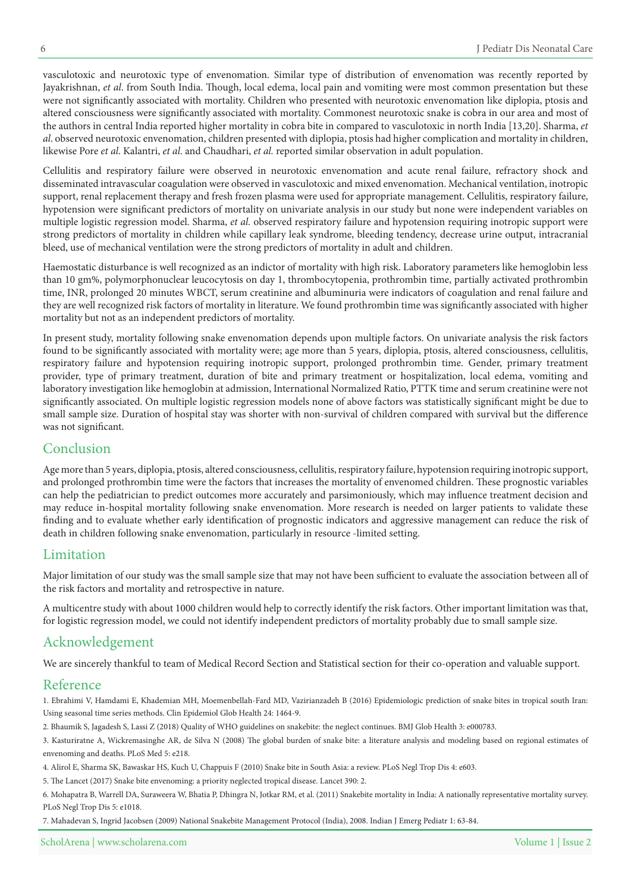vasculotoxic and neurotoxic type of envenomation. Similar type of distribution of envenomation was recently reported by Jayakrishnan, et al. from South India. Though, local edema, local pain and vomiting were most common presentation but these were not significantly associated with mortality. Children who presented with neurotoxic envenomation like diplopia, ptosis and altered consciousness were significantly associated with mortality. Commonest neurotoxic snake is cobra in our area and most of the authors in central India reported higher mortality in cobra bite in compared to vasculotoxic in north India [13,20]. Sharma, et al. observed neurotoxic envenomation, children presented with diplopia, ptosis had higher complication and mortality in children, likewise Pore et al. Kalantri, et al. and Chaudhari, et al. reported similar observation in adult population.

Cellulitis and respiratory failure were observed in neurotoxic envenomation and acute renal failure, refractory shock and disseminated intravascular coagulation were observed in vasculotoxic and mixed envenomation. Mechanical ventilation, inotropic support, renal replacement therapy and fresh frozen plasma were used for appropriate management. Cellulitis, respiratory failure, hypotension were significant predictors of mortality on univariate analysis in our study but none were independent variables on multiple logistic regression model. Sharma, et al. observed respiratory failure and hypotension requiring inotropic support were strong predictors of mortality in children while capillary leak syndrome, bleeding tendency, decrease urine output, intracranial bleed, use of mechanical ventilation were the strong predictors of mortality in adult and children.

Haemostatic disturbance is well recognized as an indictor of mortality with high risk. Laboratory parameters like hemoglobin less than 10 gm%, polymorphonuclear leucocytosis on day 1, thrombocytopenia, prothrombin time, partially activated prothrombin time, INR, prolonged 20 minutes WBCT, serum creatinine and albuminuria were indicators of coagulation and renal failure and they are well recognized risk factors of mortality in literature. We found prothrombin time was significantly associated with higher mortality but not as an independent predictors of mortality.

In present study, mortality following snake envenomation depends upon multiple factors. On univariate analysis the risk factors found to be significantly associated with mortality were; age more than 5 years, diplopia, ptosis, altered consciousness, cellulitis, respiratory failure and hypotension requiring inotropic support, prolonged prothrombin time. Gender, primary treatment provider, type of primary treatment, duration of bite and primary treatment or hospitalization, local edema, vomiting and laboratory investigation like hemoglobin at admission, International Normalized Ratio, PTTK time and serum creatinine were not significantly associated. On multiple logistic regression models none of above factors was statistically significant might be due to small sample size. Duration of hospital stay was shorter with non-survival of children compared with survival but the difference was not significant.

### Conclusion

Age more than 5 years, diplopia, ptosis, altered consciousness, cellulitis, respiratory failure, hypotension requiring inotropic support, and prolonged prothrombin time were the factors that increases the mortality of envenomed children. These prognostic variables can help the pediatrician to predict outcomes more accurately and parsimoniously, which may influence treatment decision and may reduce in-hospital mortality following snake envenomation. More research is needed on larger patients to validate these finding and to evaluate whether early identification of prognostic indicators and aggressive management can reduce the risk of death in children following snake envenomation, particularly in resource -limited setting.

# Limitation

Major limitation of our study was the small sample size that may not have been sufficient to evaluate the association between all of the risk factors and mortality and retrospective in nature.

A multicentre study with about 1000 children would help to correctly identify the risk factors. Other important limitation was that, for logistic regression model, we could not identify independent predictors of mortality probably due to small sample size.

# Acknowledgement

We are sincerely thankful to team of Medical Record Section and Statistical section for their co-operation and valuable support.

#### Reference

1. Ebrahimi V, Hamdami E, Khademian MH, Moemenbellah-Fard MD, Vazirianzadeh B (2016) Epidemiologic prediction of snake bites in tropical south Iran: Using seasonal time series methods. Clin Epidemiol Glob Health 24: 1464-9.

2. Bhaumik S, Jagadesh S, Lassi Z (2018) Quality of WHO guidelines on snakebite: the neglect continues. BMJ Glob Health 3: e000783.

3. Kasturiratne A, Wickremasinghe AR, de Silva N (2008) The global burden of snake bite: a literature analysis and modeling based on regional estimates of envenoming and deaths. PLoS Med 5: e218.

4. Alirol E, Sharma SK, Bawaskar HS, Kuch U, Chappuis F (2010) Snake bite in South Asia: a review. PLoS Negl Trop Dis 4: e603.

5. The Lancet (2017) Snake bite envenoming: a priority neglected tropical disease. Lancet 390: 2.

6. Mohapatra B, Warrell DA, Suraweera W, Bhatia P, Dhingra N, Jotkar RM, et al. (2011) Snakebite mortality in India: A nationally representative mortality survey. PLoS Negl Trop Dis 5: e1018.

7. Mahadevan S, Ingrid Jacobsen (2009) National Snakebite Management Protocol (India), 2008. Indian J Emerg Pediatr 1: 63-84.